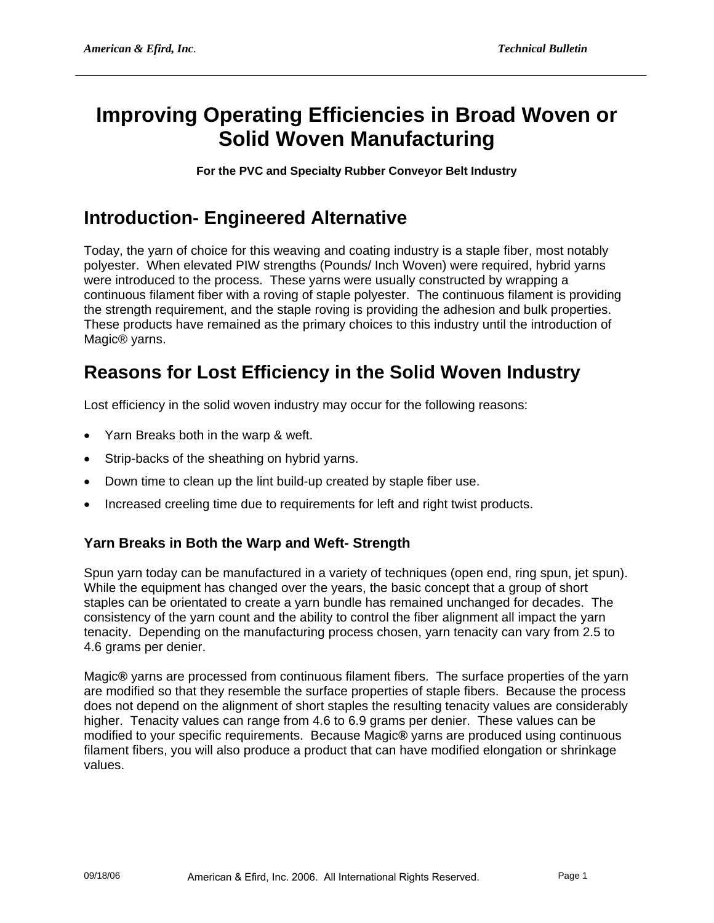# **Improving Operating Efficiencies in Broad Woven or Solid Woven Manufacturing**

**For the PVC and Specialty Rubber Conveyor Belt Industry** 

## **Introduction- Engineered Alternative**

Today, the yarn of choice for this weaving and coating industry is a staple fiber, most notably polyester. When elevated PIW strengths (Pounds/ Inch Woven) were required, hybrid yarns were introduced to the process. These yarns were usually constructed by wrapping a continuous filament fiber with a roving of staple polyester. The continuous filament is providing the strength requirement, and the staple roving is providing the adhesion and bulk properties. These products have remained as the primary choices to this industry until the introduction of Magic® yarns.

## **Reasons for Lost Efficiency in the Solid Woven Industry**

Lost efficiency in the solid woven industry may occur for the following reasons:

- Yarn Breaks both in the warp & weft.
- Strip-backs of the sheathing on hybrid yarns.
- Down time to clean up the lint build-up created by staple fiber use.
- Increased creeling time due to requirements for left and right twist products.

#### **Yarn Breaks in Both the Warp and Weft- Strength**

Spun yarn today can be manufactured in a variety of techniques (open end, ring spun, jet spun). While the equipment has changed over the years, the basic concept that a group of short staples can be orientated to create a yarn bundle has remained unchanged for decades. The consistency of the yarn count and the ability to control the fiber alignment all impact the yarn tenacity. Depending on the manufacturing process chosen, yarn tenacity can vary from 2.5 to 4.6 grams per denier.

Magic**®** yarns are processed from continuous filament fibers. The surface properties of the yarn are modified so that they resemble the surface properties of staple fibers. Because the process does not depend on the alignment of short staples the resulting tenacity values are considerably higher. Tenacity values can range from 4.6 to 6.9 grams per denier. These values can be modified to your specific requirements. Because Magic**®** yarns are produced using continuous filament fibers, you will also produce a product that can have modified elongation or shrinkage values.